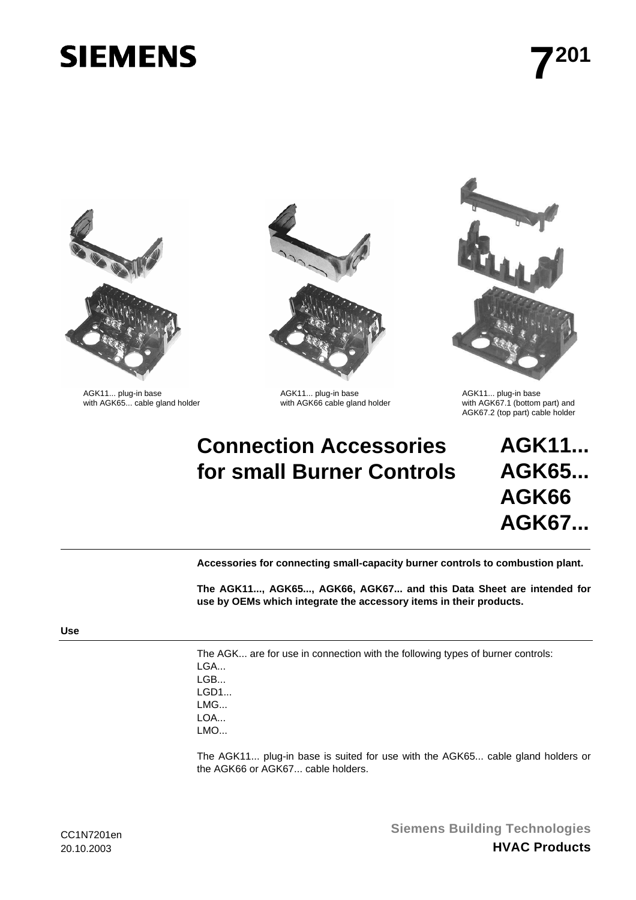# **SIEMENS**



AGK11... plug-in base <br>
with AGK65... cable gland holder **AGK11... plug-in base** AGK66 cable gland holder **AGK11... plug-in base** with AGK667.1 (bottom



# **Connection Accessories for small Burner Controls**



with AGK67.1 (bottom part) and AGK67.2 (top part) cable holder

**AGK11... AGK65... AGK66 AGK67...**

**Accessories for connecting small-capacity burner controls to combustion plant.** 

**The AGK11..., AGK65..., AGK66, AGK67... and this Data Sheet are intended for use by OEMs which integrate the accessory items in their products.** 

The AGK... are for use in connection with the following types of burner controls: LGA... LGB... LGD1... LMG... LOA... LMO...

The AGK11... plug-in base is suited for use with the AGK65... cable gland holders or the AGK66 or AGK67... cable holders.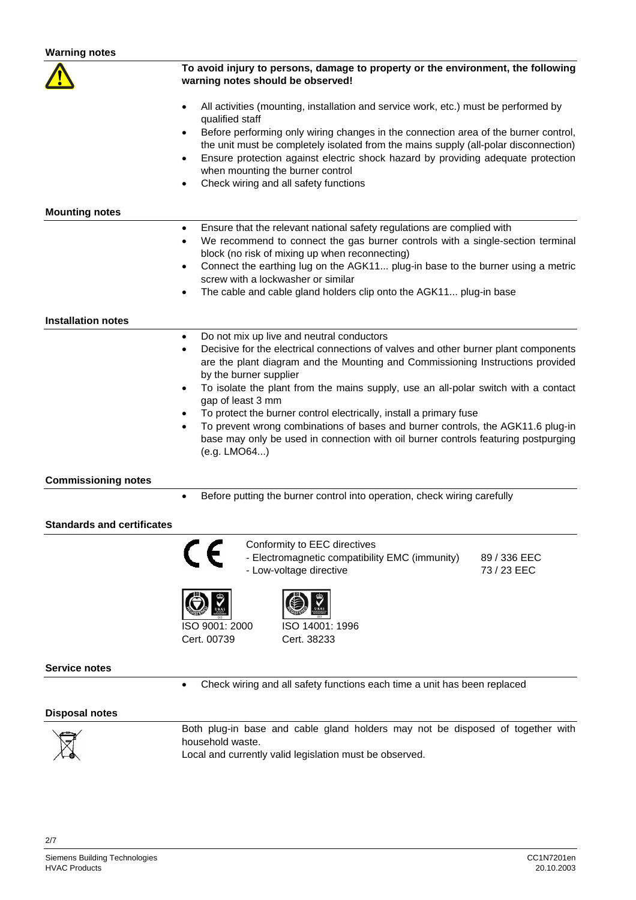| <b>Warning notes</b>              |                                                                                                                                                                                                                                                                                                                                                                                                                                                                                                                                                                                                                                                    |  |  |
|-----------------------------------|----------------------------------------------------------------------------------------------------------------------------------------------------------------------------------------------------------------------------------------------------------------------------------------------------------------------------------------------------------------------------------------------------------------------------------------------------------------------------------------------------------------------------------------------------------------------------------------------------------------------------------------------------|--|--|
|                                   | To avoid injury to persons, damage to property or the environment, the following<br>warning notes should be observed!                                                                                                                                                                                                                                                                                                                                                                                                                                                                                                                              |  |  |
|                                   | All activities (mounting, installation and service work, etc.) must be performed by<br>$\bullet$<br>qualified staff<br>Before performing only wiring changes in the connection area of the burner control,<br>$\bullet$<br>the unit must be completely isolated from the mains supply (all-polar disconnection)<br>Ensure protection against electric shock hazard by providing adequate protection<br>$\bullet$<br>when mounting the burner control<br>Check wiring and all safety functions<br>$\bullet$                                                                                                                                         |  |  |
| <b>Mounting notes</b>             |                                                                                                                                                                                                                                                                                                                                                                                                                                                                                                                                                                                                                                                    |  |  |
|                                   | Ensure that the relevant national safety regulations are complied with<br>$\bullet$<br>We recommend to connect the gas burner controls with a single-section terminal<br>$\bullet$<br>block (no risk of mixing up when reconnecting)<br>Connect the earthing lug on the AGK11 plug-in base to the burner using a metric<br>$\bullet$<br>screw with a lockwasher or similar<br>The cable and cable gland holders clip onto the AGK11 plug-in base<br>$\bullet$                                                                                                                                                                                      |  |  |
| <b>Installation notes</b>         |                                                                                                                                                                                                                                                                                                                                                                                                                                                                                                                                                                                                                                                    |  |  |
| <b>Commissioning notes</b>        | Do not mix up live and neutral conductors<br>٠<br>Decisive for the electrical connections of valves and other burner plant components<br>٠<br>are the plant diagram and the Mounting and Commissioning Instructions provided<br>by the burner supplier<br>To isolate the plant from the mains supply, use an all-polar switch with a contact<br>$\bullet$<br>gap of least 3 mm<br>To protect the burner control electrically, install a primary fuse<br>٠<br>To prevent wrong combinations of bases and burner controls, the AGK11.6 plug-in<br>base may only be used in connection with oil burner controls featuring postpurging<br>(e.g. LMO64) |  |  |
|                                   | Before putting the burner control into operation, check wiring carefully<br>$\bullet$                                                                                                                                                                                                                                                                                                                                                                                                                                                                                                                                                              |  |  |
| <b>Standards and certificates</b> |                                                                                                                                                                                                                                                                                                                                                                                                                                                                                                                                                                                                                                                    |  |  |
|                                   | Conformity to EEC directives<br>- Electromagnetic compatibility EMC (immunity)<br>89 / 336 EEC<br>- Low-voltage directive<br>73 / 23 EEC                                                                                                                                                                                                                                                                                                                                                                                                                                                                                                           |  |  |
|                                   | ISO 9001: 2000<br>ISO 14001: 1996<br>Cert. 00739<br>Cert. 38233                                                                                                                                                                                                                                                                                                                                                                                                                                                                                                                                                                                    |  |  |
| <b>Service notes</b>              |                                                                                                                                                                                                                                                                                                                                                                                                                                                                                                                                                                                                                                                    |  |  |
|                                   | Check wiring and all safety functions each time a unit has been replaced<br>$\bullet$                                                                                                                                                                                                                                                                                                                                                                                                                                                                                                                                                              |  |  |
| <b>Disposal notes</b>             |                                                                                                                                                                                                                                                                                                                                                                                                                                                                                                                                                                                                                                                    |  |  |
|                                   | Both plug-in base and cable gland holders may not be disposed of together with                                                                                                                                                                                                                                                                                                                                                                                                                                                                                                                                                                     |  |  |

household waste. Local and currently valid legislation must be observed.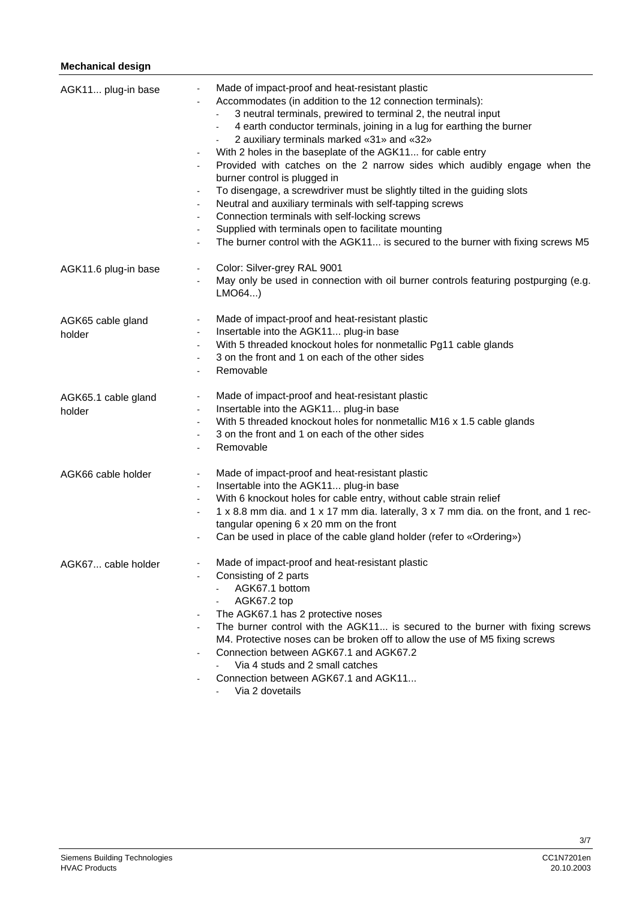## **Mechanical design**

| AGK11 plug-in base            | Made of impact-proof and heat-resistant plastic<br>Accommodates (in addition to the 12 connection terminals):<br>3 neutral terminals, prewired to terminal 2, the neutral input<br>4 earth conductor terminals, joining in a lug for earthing the burner<br>2 auxiliary terminals marked «31» and «32»<br>With 2 holes in the baseplate of the AGK11 for cable entry<br>-<br>Provided with catches on the 2 narrow sides which audibly engage when the<br>burner control is plugged in<br>To disengage, a screwdriver must be slightly tilted in the guiding slots<br>Neutral and auxiliary terminals with self-tapping screws<br>$\blacksquare$<br>Connection terminals with self-locking screws<br>$\blacksquare$<br>Supplied with terminals open to facilitate mounting<br>$\blacksquare$<br>The burner control with the AGK11 is secured to the burner with fixing screws M5 |
|-------------------------------|----------------------------------------------------------------------------------------------------------------------------------------------------------------------------------------------------------------------------------------------------------------------------------------------------------------------------------------------------------------------------------------------------------------------------------------------------------------------------------------------------------------------------------------------------------------------------------------------------------------------------------------------------------------------------------------------------------------------------------------------------------------------------------------------------------------------------------------------------------------------------------|
| AGK11.6 plug-in base          | Color: Silver-grey RAL 9001<br>May only be used in connection with oil burner controls featuring postpurging (e.g.<br>LMO64                                                                                                                                                                                                                                                                                                                                                                                                                                                                                                                                                                                                                                                                                                                                                      |
| AGK65 cable gland<br>holder   | Made of impact-proof and heat-resistant plastic<br>$\blacksquare$<br>Insertable into the AGK11 plug-in base<br>$\blacksquare$<br>With 5 threaded knockout holes for nonmetallic Pg11 cable glands<br>$\blacksquare$<br>3 on the front and 1 on each of the other sides<br>$\blacksquare$<br>Removable                                                                                                                                                                                                                                                                                                                                                                                                                                                                                                                                                                            |
| AGK65.1 cable gland<br>holder | Made of impact-proof and heat-resistant plastic<br>$\blacksquare$<br>Insertable into the AGK11 plug-in base<br>$\blacksquare$<br>With 5 threaded knockout holes for nonmetallic M16 x 1.5 cable glands<br>$\blacksquare$<br>3 on the front and 1 on each of the other sides<br>$\blacksquare$<br>Removable                                                                                                                                                                                                                                                                                                                                                                                                                                                                                                                                                                       |
| AGK66 cable holder            | Made of impact-proof and heat-resistant plastic<br>$\frac{1}{2}$<br>Insertable into the AGK11 plug-in base<br>$\blacksquare$<br>With 6 knockout holes for cable entry, without cable strain relief<br>$\blacksquare$<br>1 x 8.8 mm dia. and 1 x 17 mm dia. laterally, 3 x 7 mm dia. on the front, and 1 rec-<br>$\overline{\phantom{0}}$<br>tangular opening 6 x 20 mm on the front<br>Can be used in place of the cable gland holder (refer to «Ordering»)                                                                                                                                                                                                                                                                                                                                                                                                                      |
| AGK67 cable holder            | Made of impact-proof and heat-resistant plastic<br>Consisting of 2 parts<br>AGK67.1 bottom<br>AGK67.2 top<br>The AGK67.1 has 2 protective noses<br>The burner control with the AGK11 is secured to the burner with fixing screws<br>M4. Protective noses can be broken off to allow the use of M5 fixing screws<br>Connection between AGK67.1 and AGK67.2<br>Via 4 studs and 2 small catches<br>Connection between AGK67.1 and AGK11<br>Via 2 dovetails                                                                                                                                                                                                                                                                                                                                                                                                                          |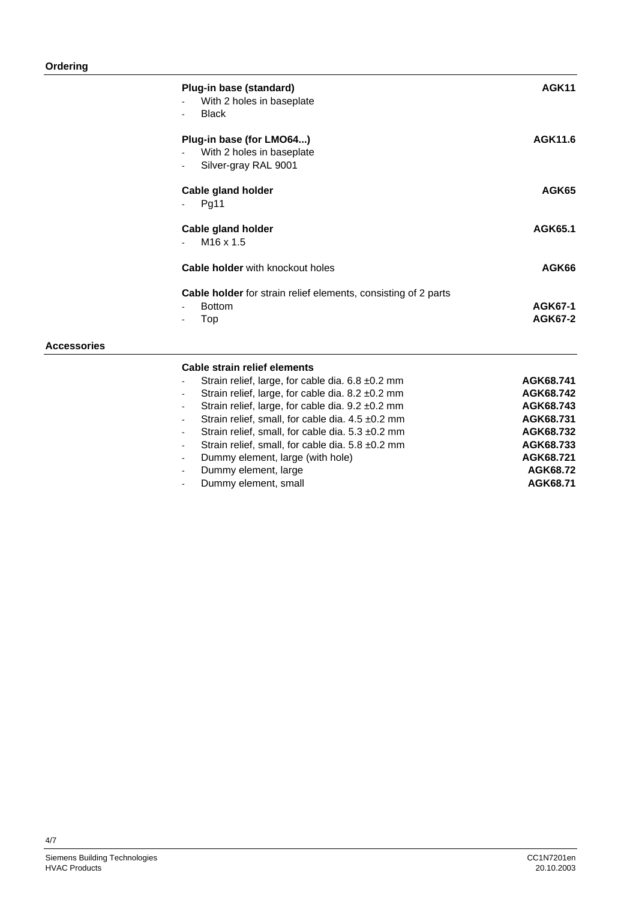## **Ordering**

**Accessories** 

| Plug-in base (standard)<br>With 2 holes in baseplate<br><b>Black</b>                          | AGK11                            |
|-----------------------------------------------------------------------------------------------|----------------------------------|
| Plug-in base (for LMO64)<br>With 2 holes in baseplate<br>Silver-gray RAL 9001                 | AGK11.6                          |
| <b>Cable gland holder</b><br>Pg11                                                             | AGK65                            |
| <b>Cable gland holder</b><br>M <sub>16</sub> x 1.5                                            | AGK65.1                          |
| <b>Cable holder</b> with knockout holes                                                       | AGK66                            |
| <b>Cable holder</b> for strain relief elements, consisting of 2 parts<br><b>Bottom</b><br>Top | <b>AGK67-1</b><br><b>AGK67-2</b> |
| Cable strain relief elements                                                                  |                                  |
| Strain relief, large, for cable dia. 6.8 ±0.2 mm                                              | AGK68.741                        |
| Strain relief, large, for cable dia. 8.2 ±0.2 mm<br>٠                                         | AGK68.742                        |
| Strain relief, large, for cable dia. 9.2 ±0.2 mm                                              | AGK68.743                        |
| Strain relief, small, for cable dia. 4.5 ±0.2 mm<br>۰                                         | AGK68.731                        |
| Strain relief, small, for cable dia. 5.3 ±0.2 mm                                              | AGK68.732                        |
| Strain relief, small, for cable dia. 5.8 ±0.2 mm<br>ä,                                        | AGK68.733                        |
| Dummy element, large (with hole)                                                              | AGK68.721                        |

- Dummy element, large **AGK68.72**
- Dummy element, small **AGK68.71**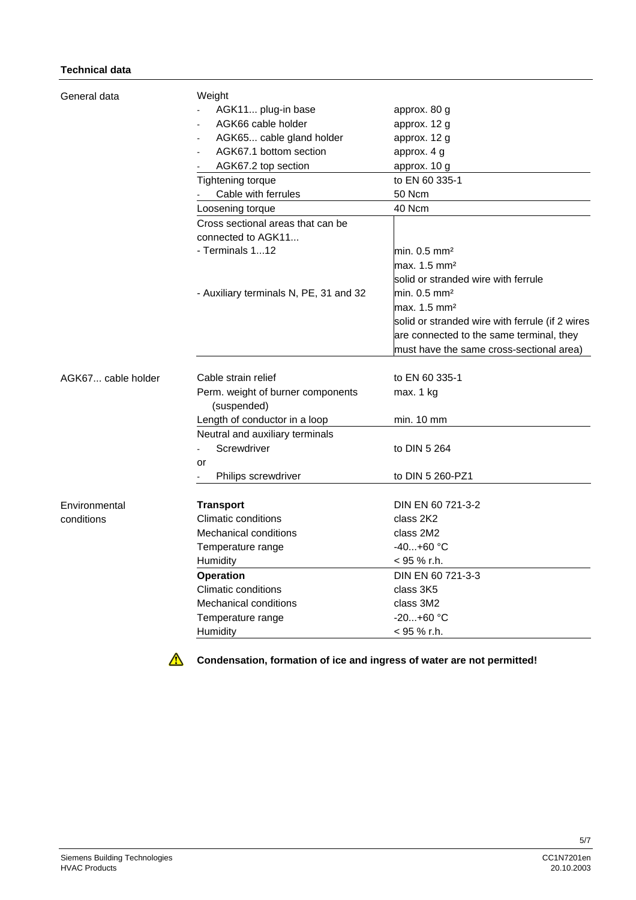#### **Technical data**

| General data       | Weight                                     |                                                 |
|--------------------|--------------------------------------------|-------------------------------------------------|
|                    | AGK11 plug-in base                         | approx. 80 g                                    |
|                    | AGK66 cable holder                         | approx. 12 g                                    |
|                    | AGK65 cable gland holder<br>$\blacksquare$ | approx. 12 g                                    |
|                    | AGK67.1 bottom section                     | approx. 4 g                                     |
|                    | AGK67.2 top section                        | approx. 10 g                                    |
|                    | Tightening torque                          | to EN 60 335-1                                  |
|                    | Cable with ferrules                        | 50 Ncm                                          |
|                    | Loosening torque                           | 40 Ncm                                          |
|                    | Cross sectional areas that can be          |                                                 |
|                    | connected to AGK11                         |                                                 |
|                    | - Terminals 112                            | $min. 0.5$ mm <sup>2</sup>                      |
|                    |                                            | max. 1.5 mm <sup>2</sup>                        |
|                    |                                            | solid or stranded wire with ferrule             |
|                    | - Auxiliary terminals N, PE, 31 and 32     | min. $0.5$ mm <sup>2</sup>                      |
|                    |                                            | max. 1.5 mm <sup>2</sup>                        |
|                    |                                            | solid or stranded wire with ferrule (if 2 wires |
|                    |                                            | are connected to the same terminal, they        |
|                    |                                            | must have the same cross-sectional area)        |
| AGK67 cable holder | Cable strain relief                        | to EN 60 335-1                                  |
|                    | Perm. weight of burner components          | max. 1 kg                                       |
|                    | (suspended)                                |                                                 |
|                    | Length of conductor in a loop              | $min. 10$ mm                                    |
|                    | Neutral and auxiliary terminals            |                                                 |
|                    | Screwdriver<br>$\blacksquare$              | to DIN 5 264                                    |
|                    | or                                         |                                                 |
|                    | Philips screwdriver                        | to DIN 5 260-PZ1                                |
|                    |                                            |                                                 |
| Environmental      | <b>Transport</b>                           | DIN EN 60 721-3-2                               |
| conditions         | Climatic conditions                        | class 2K2                                       |
|                    | <b>Mechanical conditions</b>               | class 2M2                                       |
|                    | Temperature range                          | $-40+60$ °C                                     |
|                    | Humidity                                   | < 95 % r.h.                                     |
|                    | <b>Operation</b>                           | DIN EN 60 721-3-3                               |
|                    | <b>Climatic conditions</b>                 | class 3K5                                       |
|                    | <b>Mechanical conditions</b>               | class 3M2                                       |
|                    | Temperature range                          | $-20+60$ °C                                     |
|                    | Humidity                                   | < 95 % r.h.                                     |



**Condensation, formation of ice and ingress of water are not permitted!**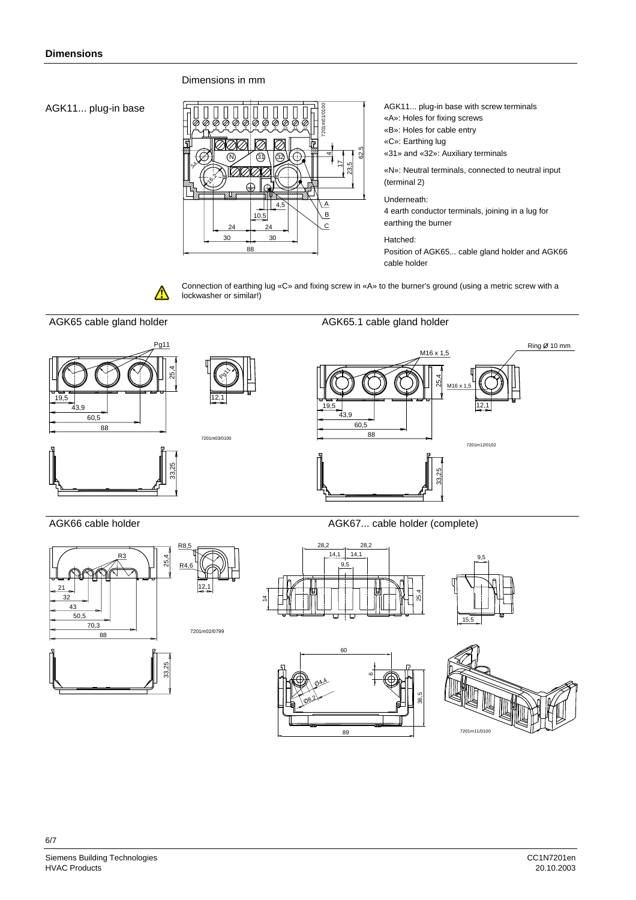#### Dimensions in mm

AGK11... plug-in base



- AGK11... plug-in base with screw terminals
- «A»: Holes for fixing screws
- «B»: Holes for cable entry
- «C»: Earthing lug

«31» and «32»: Auxiliary terminals

«N»: Neutral terminals, connected to neutral input (terminal 2)

Underneath:

4 earth conductor terminals, joining in a lug for earthing the burner

Hatched:

Position of AGK65... cable gland holder and AGK66 cable holder



Connection of earthing lug «C» and fixing screw in «A» to the burner's ground (using a metric screw with a lockwasher or similar!)







60

89

 $08<sup>2</sup>$ O4,4



36,5